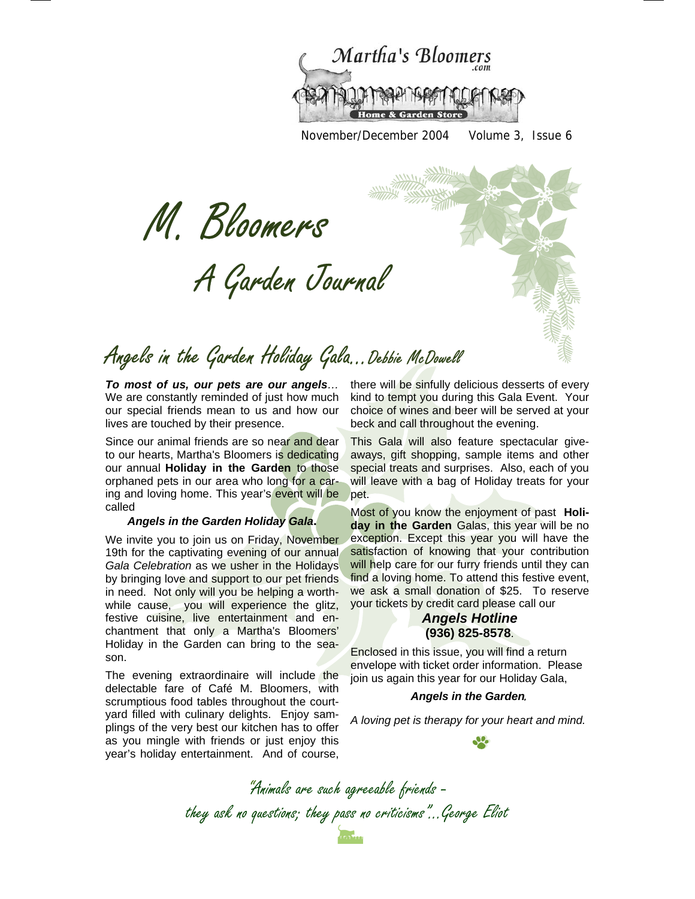

November/December 2004 Volume 3, Issue 6

M. Bloomers

A Garden Journal

# Angels in the Garden Holiday Gala…Debbie McDowell

*To most of us, our pets are our angels…* We are constantly reminded of just how much our special friends mean to us and how our lives are touched by their presence.

Since our animal friends are so near and dear to our hearts, Martha's Bloomers is dedicating our annual **Holiday in the Garden** to those orphaned pets in our area who long for a caring and loving home. This year's event will be called

#### *Angels in the Garden Holiday Gala***.**

We invite you to join us on Friday, November 19th for the captivating evening of our annual *Gala Celebration* as we usher in the Holidays by bringing love and support to our pet friends in need. Not only will you be helping a worthwhile cause, you will experience the glitz, festive cuisine, live entertainment and enchantment that only a Martha's Bloomers' Holiday in the Garden can bring to the season.

The evening extraordinaire will include the delectable fare of Café M. Bloomers, with scrumptious food tables throughout the courtyard filled with culinary delights. Enjoy samplings of the very best our kitchen has to offer as you mingle with friends or just enjoy this year's holiday entertainment. And of course, there will be sinfully delicious desserts of every kind to tempt you during this Gala Event. Your choice of wines and beer will be served at your beck and call throughout the evening.

This Gala will also feature spectacular giveaways, gift shopping, sample items and other special treats and surprises. Also, each of you will leave with a bag of Holiday treats for your pet.

Most of you know the enjoyment of past **Holiday in the Garden** Galas, this year will be no exception. Except this year you will have the satisfaction of knowing that your contribution will help care for our furry friends until they can find a loving home. To attend this festive event, we ask a small donation of \$25. To reserve your tickets by credit card please call our

#### *Angels Hotline*  **(936) 825-8578**.

Enclosed in this issue, you will find a return envelope with ticket order information. Please join us again this year for our Holiday Gala,

#### *Angels in the Garden*.

*A loving pet is therapy for your heart and mind.* 

"Animals are such agreeable friends they ask no questions; they pass no criticisms"...George Eliot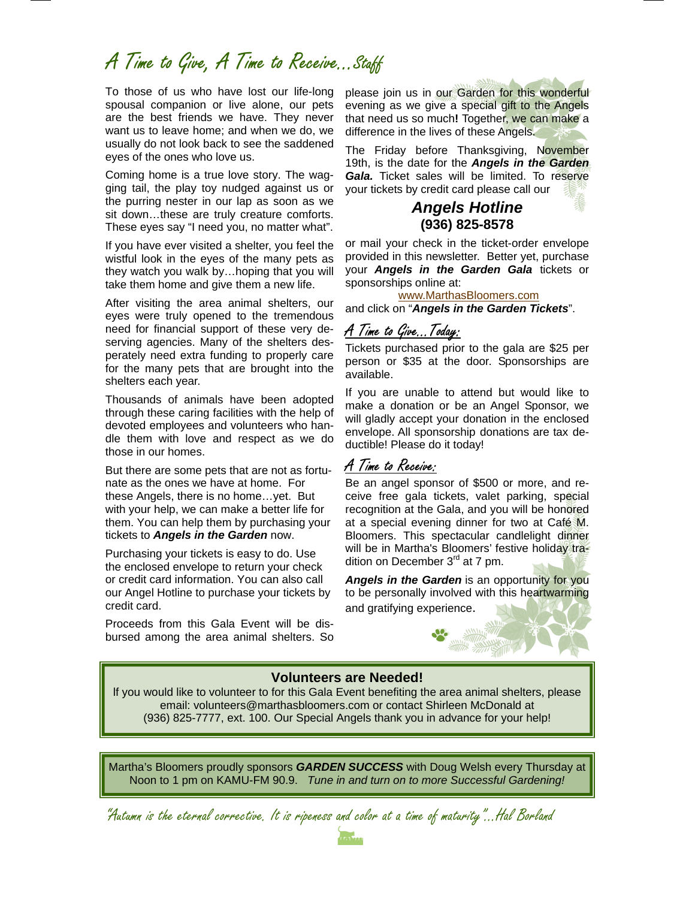## A Time to Give, A Time to Receive...Staff

To those of us who have lost our life-long spousal companion or live alone, our pets are the best friends we have. They never want us to leave home; and when we do, we usually do not look back to see the saddened eyes of the ones who love us.

Coming home is a true love story. The wagging tail, the play toy nudged against us or the purring nester in our lap as soon as we sit down…these are truly creature comforts. These eyes say "I need you, no matter what".

If you have ever visited a shelter, you feel the wistful look in the eyes of the many pets as they watch you walk by…hoping that you will take them home and give them a new life.

After visiting the area animal shelters, our eyes were truly opened to the tremendous need for financial support of these very deserving agencies. Many of the shelters desperately need extra funding to properly care for the many pets that are brought into the shelters each year.

Thousands of animals have been adopted through these caring facilities with the help of devoted employees and volunteers who handle them with love and respect as we do those in our homes.

But there are some pets that are not as fortunate as the ones we have at home. For these Angels, there is no home…yet. But with your help, we can make a better life for them. You can help them by purchasing your tickets to *Angels in the Garden* now.

Purchasing your tickets is easy to do. Use the enclosed envelope to return your check or credit card information. You can also call our Angel Hotline to purchase your tickets by credit card.

Proceeds from this Gala Event will be disbursed among the area animal shelters. So please join us in our Garden for this wonderful evening as we give a special gift to the Angels that need us so much**!** Together, we can make a difference in the lives of these Angels.

The Friday before Thanksgiving, November 19th, is the date for the *Angels in the Garden Gala.* Ticket sales will be limited. To reserve your tickets by credit card please call our

#### *Angels Hotline*  **(936) 825-8578**

or mail your check in the ticket-order envelope provided in this newsletter. Better yet, purchase your *Angels in the Garden Gala* tickets or sponsorships online at:

www.MarthasBloomers.com and click on "*Angels in the Garden Tickets*".

### A Time to Give...Today:

Tickets purchased prior to the gala are \$25 per person or \$35 at the door. Sponsorships are available.

If you are unable to attend but would like to make a donation or be an Angel Sponsor, we will gladly accept your donation in the enclosed envelope. All sponsorship donations are tax deductible! Please do it today!

### A Time to Receive:

Be an angel sponsor of \$500 or more, and receive free gala tickets, valet parking, special recognition at the Gala, and you will be honored at a special evening dinner for two at Café M. Bloomers. This spectacular candlelight dinner will be in Martha's Bloomers' festive holiday tradition on December  $3<sup>rd</sup>$  at 7 pm.

Angels in the Garden is an opportunity for you to be personally involved with this heartwarming and gratifying experience.

#### **Volunteers are Needed!**

lf you would like to volunteer to for this Gala Event benefiting the area animal shelters, please email: volunteers@marthasbloomers.com or contact Shirleen McDonald at (936) 825-7777, ext. 100. Our Special Angels thank you in advance for your help!

Martha's Bloomers proudly sponsors *GARDEN SUCCESS* with Doug Welsh every Thursday at Noon to 1 pm on KAMU-FM 90.9. *Tune in and turn on to more Successful Gardening!* 

"Autumn is the eternal corrective. It is ripeness and color at a time of maturity"...Hal Borland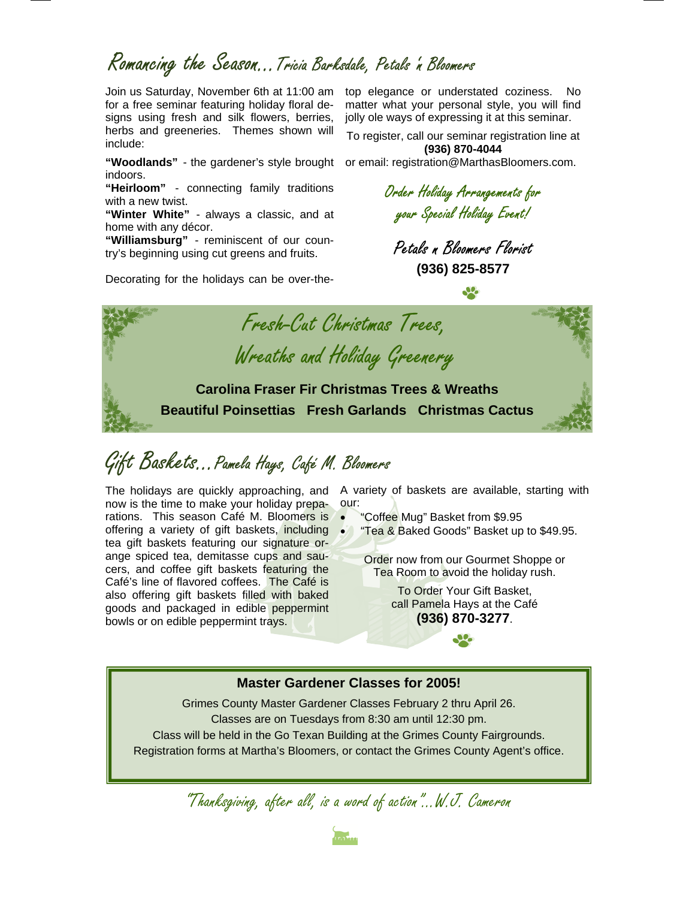### Romancing the Season…Tricia Barksdale, Petals 'n Bloomers

Join us Saturday, November 6th at 11:00 am for a free seminar featuring holiday floral designs using fresh and silk flowers, berries, herbs and greeneries. Themes shown will include:

**"Woodlands"** - the gardener's style brought indoors.

**"Heirloom"** - connecting family traditions with a new twist.

**"Winter White"** - always a classic, and at home with any décor.

**"Williamsburg"** - reminiscent of our country's beginning using cut greens and fruits.

Decorating for the holidays can be over-the-

top elegance or understated coziness. No matter what your personal style, you will find jolly ole ways of expressing it at this seminar.

To register, call our seminar registration line at **(936) 870-4044** 

or email: registration@MarthasBloomers.com.

Order Holiday Arrangements for your Special Holiday Event!

Petals n Bloomers Florist **(936) 825-8577** 



Gift Baskets...Pamela Hays, Café M. Bloomers

now is the time to make your holiday preparations. This season Café M. Bloomers is offering a variety of gift baskets, including • tea gift baskets featuring our signature orange spiced tea, demitasse cups and saucers, and coffee gift baskets featuring the Café's line of flavored coffees. The Café is also offering gift baskets filled with baked goods and packaged in edible peppermint bowls or on edible peppermint trays.

The holidays are quickly approaching, and A variety of baskets are available, starting with our:

- "Coffee Mug" Basket from \$9.95
- "Tea & Baked Goods" Basket up to \$49.95.

Order now from our Gourmet Shoppe or Tea Room to avoid the holiday rush.

> To Order Your Gift Basket, call Pamela Hays at the Café **(936) 870-3277**.

#### **Master Gardener Classes for 2005!**

Grimes County Master Gardener Classes February 2 thru April 26. Classes are on Tuesdays from 8:30 am until 12:30 pm. Class will be held in the Go Texan Building at the Grimes County Fairgrounds. Registration forms at Martha's Bloomers, or contact the Grimes County Agent's office.

"Thanksgiving, after all, is a word of action"...W.J. Cameron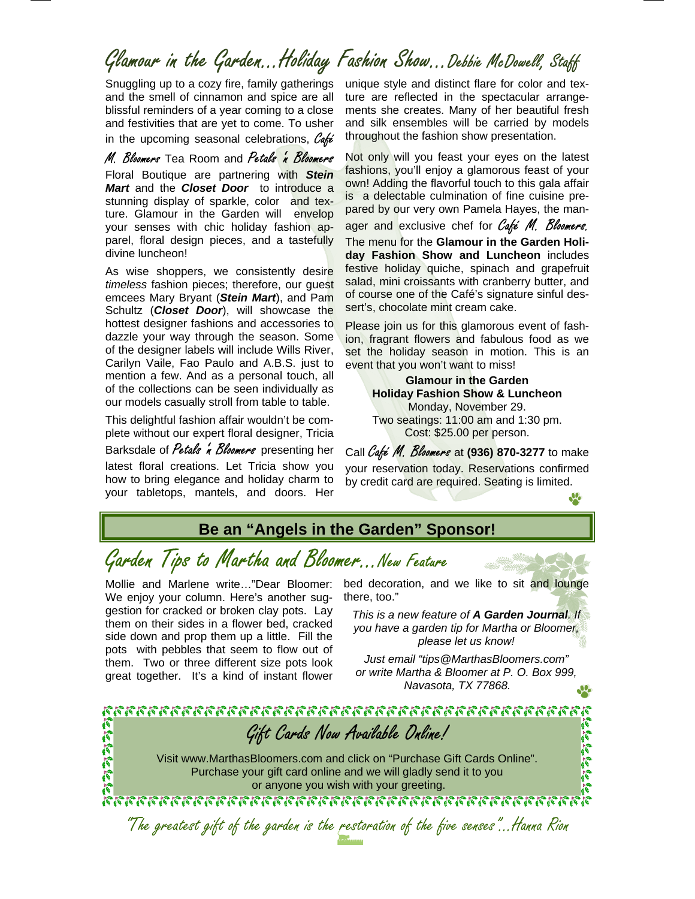# Glamour in the Garden...Holiday Fashion Show...Debbie McDowell, Staff

Snuggling up to a cozy fire, family gatherings and the smell of cinnamon and spice are all blissful reminders of a year coming to a close and festivities that are yet to come. To usher

in the upcoming seasonal celebrations,  $\mathcal{C}_{\mathbf{a}}$ 

M. Bloomers Tea Room and Petals *n* Bloomers Floral Boutique are partnering with *Stein Mart* and the *Closet Door* to introduce a stunning display of sparkle, color and texture. Glamour in the Garden will envelop your senses with chic holiday fashion apparel, floral design pieces, and a tastefully divine luncheon!

As wise shoppers, we consistently desire *timeless* fashion pieces; therefore, our guest emcees Mary Bryant (*Stein Mart*), and Pam Schultz (*Closet Door*), will showcase the hottest designer fashions and accessories to dazzle your way through the season. Some of the designer labels will include Wills River, Carilyn Vaile, Fao Paulo and A.B.S. just to mention a few. And as a personal touch, all of the collections can be seen individually as our models casually stroll from table to table.

This delightful fashion affair wouldn't be complete without our expert floral designer, Tricia Barksdale of Petals 'n Bloomers presenting her

latest floral creations. Let Tricia show you how to bring elegance and holiday charm to your tabletops, mantels, and doors. Her

unique style and distinct flare for color and texture are reflected in the spectacular arrangements she creates. Many of her beautiful fresh and silk ensembles will be carried by models throughout the fashion show presentation.

Not only will you feast your eyes on the latest fashions, you'll enjoy a glamorous feast of your own! Adding the flavorful touch to this gala affair is a delectable culmination of fine cuisine prepared by our very own Pamela Hayes, the manager and exclusive chef for Café M. Bloomers. The menu for the **Glamour in the Garden Holiday Fashion Show and Luncheon** includes festive holiday quiche, spinach and grapefruit salad, mini croissants with cranberry butter, and of course one of the Café's signature sinful dessert's, chocolate mint cream cake.

Please join us for this glamorous event of fashion, fragrant flowers and fabulous food as we set the holiday season in motion. This is an event that you won't want to miss!

> **Glamour in the Garden Holiday Fashion Show & Luncheon** Monday, November 29. Two seatings: 11:00 am and 1:30 pm. Cost: \$25.00 per person.

Call Café M. Bloomers at **(936) 870-3277** to make your reservation today. Reservations confirmed by credit card are required. Seating is limited.

₩

### **Be an "Angels in the Garden" Sponsor!**

## Garden Tips to Martha and Bloomer...New Feature

Mollie and Marlene write…"Dear Bloomer: We enjoy your column. Here's another suggestion for cracked or broken clay pots. Lay them on their sides in a flower bed, cracked side down and prop them up a little. Fill the pots with pebbles that seem to flow out of them. Two or three different size pots look great together. It's a kind of instant flower bed decoration, and we like to sit and lounge there, too."

*This is a new feature of A Garden Journal. If you have a garden tip for Martha or Bloomer, please let us know!* 

*Just email "tips@MarthasBloomers.com" or write Martha & Bloomer at P. O. Box 999, Navasota, TX 77868.*

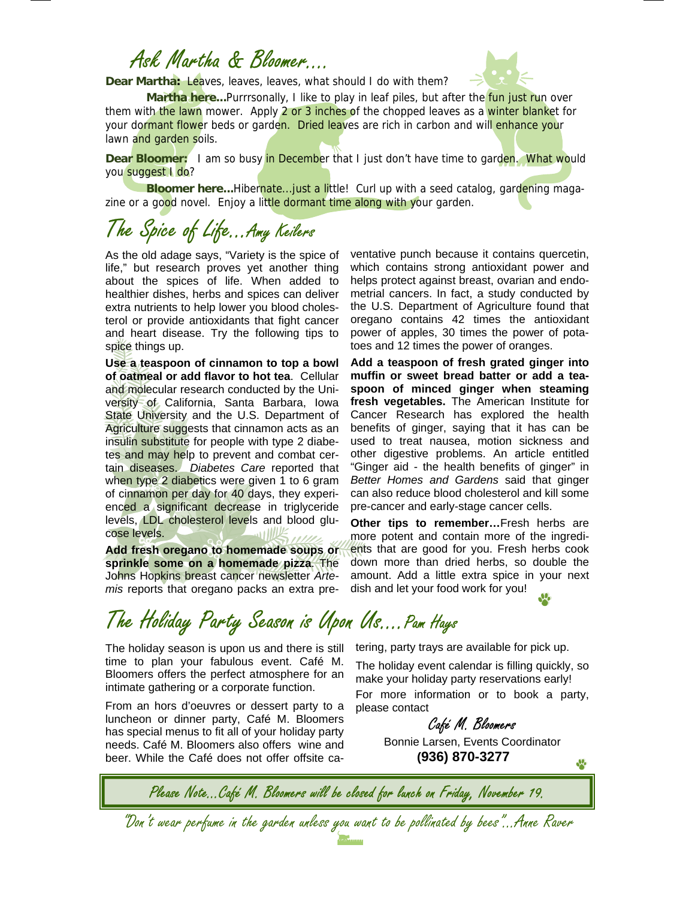### Ask Martha & Bloomer



**Dear Martha:** Leaves, leaves, leaves, what should I do with them?

**Martha here...**Purrrsonally, I like to play in leaf piles, but after the *fun just run* over them with the lawn mower. Apply 2 or 3 inches of the chopped leaves as a winter blanket for your dormant flower beds or garden. Dried leaves are rich in carbon and will enhance your lawn and garden soils.

**Dear Bloomer:** I am so busy in December that I just don't have time to garden. What would you suggest I do?

**Bloomer here...**Hibernate...just a little! Curl up with a seed catalog, gardening magazine or a good novel. Enjoy a little dormant time along with your garden.

## The Spice of Life...Amy Keilers

As the old adage says, "Variety is the spice of life," but research proves yet another thing about the spices of life. When added to healthier dishes, herbs and spices can deliver extra nutrients to help lower you blood cholesterol or provide antioxidants that fight cancer and heart disease. Try the following tips to spice things up.

**Use a teaspoon of cinnamon to top a bowl of oatmeal or add flavor to hot tea**. Cellular and molecular research conducted by the University of California, Santa Barbara, Iowa State University and the U.S. Department of Agriculture suggests that cinnamon acts as an insulin substitute for people with type 2 diabetes and may help to prevent and combat certain diseases. *Diabetes Care* reported that when type 2 diabetics were given 1 to 6 gram of cinnamon per day for 40 days, they experienced a significant decrease in triglyceride levels, LDL cholesterol levels and blood glucose levels.

**Add fresh oregano to homemade soups or sprinkle some on a homemade pizza**. The Johns Hopkins breast cancer newsletter *Artemis* reports that oregano packs an extra preventative punch because it contains quercetin, which contains strong antioxidant power and helps protect against breast, ovarian and endometrial cancers. In fact, a study conducted by the U.S. Department of Agriculture found that oregano contains 42 times the antioxidant power of apples, 30 times the power of potatoes and 12 times the power of oranges.

**Add a teaspoon of fresh grated ginger into muffin or sweet bread batter or add a teaspoon of minced ginger when steaming fresh vegetables.** The American Institute for Cancer Research has explored the health benefits of ginger, saying that it has can be used to treat nausea, motion sickness and other digestive problems. An article entitled "Ginger aid - the health benefits of ginger" in *Better Homes and Gardens* said that ginger can also reduce blood cholesterol and kill some pre-cancer and early-stage cancer cells.

**Other tips to remember…**Fresh herbs are more potent and contain more of the ingredients that are good for you. Fresh herbs cook down more than dried herbs, so double the amount. Add a little extra spice in your next dish and let your food work for you!

# The Holiday Party Season is Upon Us....Pam Hays

The holiday season is upon us and there is still time to plan your fabulous event. Café M. Bloomers offers the perfect atmosphere for an intimate gathering or a corporate function.

From an hors d'oeuvres or dessert party to a luncheon or dinner party, Café M. Bloomers has special menus to fit all of your holiday party needs. Café M. Bloomers also offers wine and beer. While the Café does not offer offsite catering, party trays are available for pick up.

The holiday event calendar is filling quickly, so make your holiday party reservations early! For more information or to book a party, please contact

Café M. Bloomers

Bonnie Larsen, Events Coordinator **(936) 870-3277** 

 $\frac{10}{2}$ 

Please Note...Café M. Bloomers will be closed for lunch on Friday, November 19.

"Don't wear perfume in the garden unless you want to be pollinated by bees"...Anne Raver